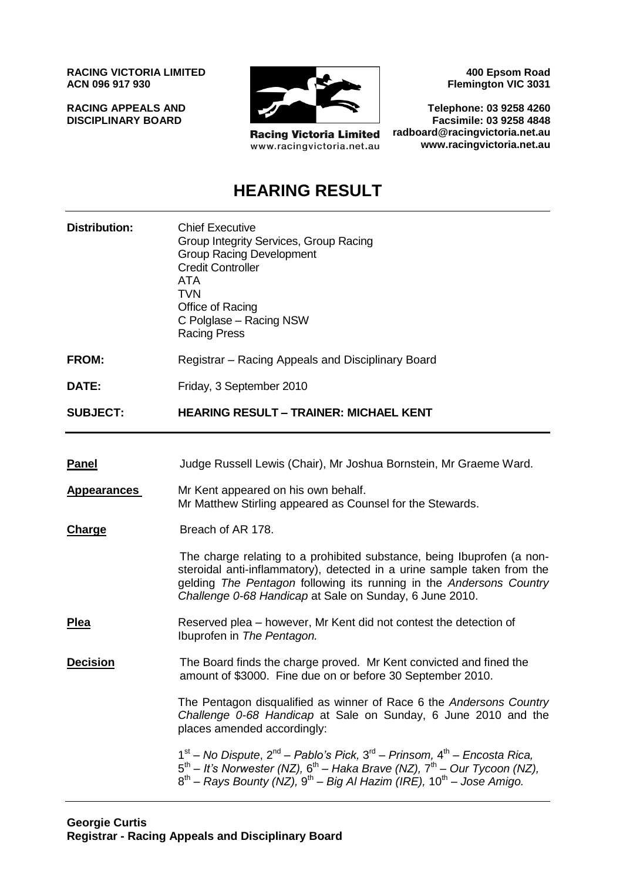**RACING VICTORIA LIMITED ACN 096 917 930**

**RACING APPEALS AND DISCIPLINARY BOARD**



**Racing Victoria Limited** www.racingvictoria.net.au

**400 Epsom Road Flemington VIC 3031**

**Telephone: 03 9258 4260 Facsimile: 03 9258 4848 radboard@racingvictoria.net.au www.racingvictoria.net.au**

## **HEARING RESULT**

| <b>Distribution:</b> | <b>Chief Executive</b><br>Group Integrity Services, Group Racing<br><b>Group Racing Development</b><br><b>Credit Controller</b><br><b>ATA</b><br><b>TVN</b><br>Office of Racing<br>C Polglase - Racing NSW<br><b>Racing Press</b>                                                   |
|----------------------|-------------------------------------------------------------------------------------------------------------------------------------------------------------------------------------------------------------------------------------------------------------------------------------|
| FROM:                | Registrar - Racing Appeals and Disciplinary Board                                                                                                                                                                                                                                   |
| DATE:                | Friday, 3 September 2010                                                                                                                                                                                                                                                            |
| <b>SUBJECT:</b>      | <b>HEARING RESULT - TRAINER: MICHAEL KENT</b>                                                                                                                                                                                                                                       |
|                      |                                                                                                                                                                                                                                                                                     |
| <b>Panel</b>         | Judge Russell Lewis (Chair), Mr Joshua Bornstein, Mr Graeme Ward.                                                                                                                                                                                                                   |
| <b>Appearances</b>   | Mr Kent appeared on his own behalf.<br>Mr Matthew Stirling appeared as Counsel for the Stewards.                                                                                                                                                                                    |
| <b>Charge</b>        | Breach of AR 178.                                                                                                                                                                                                                                                                   |
|                      | The charge relating to a prohibited substance, being Ibuprofen (a non-<br>steroidal anti-inflammatory), detected in a urine sample taken from the<br>gelding The Pentagon following its running in the Andersons Country<br>Challenge 0-68 Handicap at Sale on Sunday, 6 June 2010. |
| <u>Plea</u>          | Reserved plea – however, Mr Kent did not contest the detection of<br>Ibuprofen in The Pentagon.                                                                                                                                                                                     |
| <b>Decision</b>      | The Board finds the charge proved. Mr Kent convicted and fined the<br>amount of \$3000. Fine due on or before 30 September 2010.                                                                                                                                                    |
|                      | The Pentagon disqualified as winner of Race 6 the Andersons Country<br>Challenge 0-68 Handicap at Sale on Sunday, 6 June 2010 and the<br>places amended accordingly:                                                                                                                |
|                      | $1st$ – No Dispute, $2nd$ – Pablo's Pick, $3rd$ – Prinsom, $4th$ – Encosta Rica,<br>$5th$ – It's Norwester (NZ), $6th$ – Haka Brave (NZ), $7th$ – Our Tycoon (NZ),<br>$8^{th}$ – Rays Bounty (NZ), $9^{th}$ – Big Al Hazim (IRE), $10^{th}$ – Jose Amigo.                           |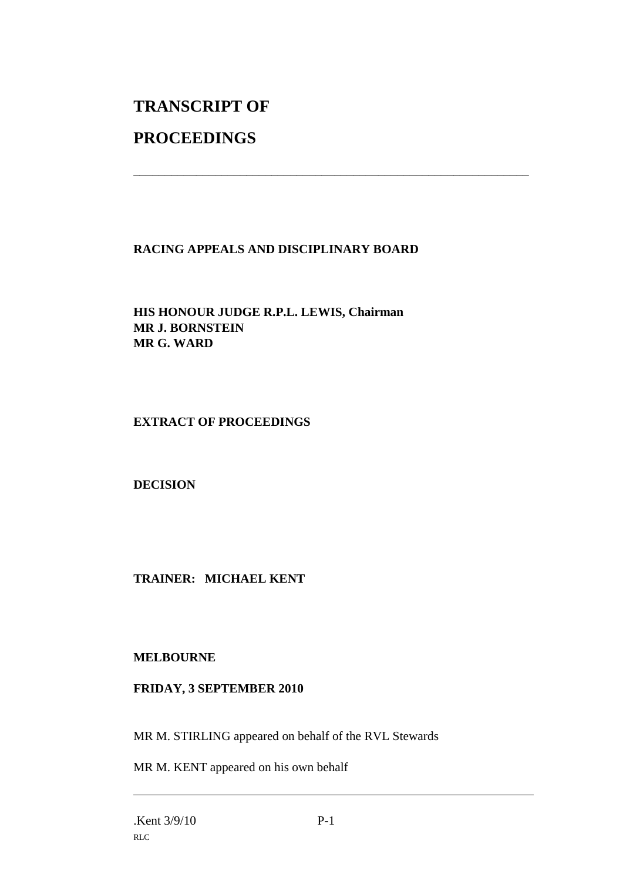# **TRANSCRIPT OF**

## **PROCEEDINGS**

### **RACING APPEALS AND DISCIPLINARY BOARD**

\_\_\_\_\_\_\_\_\_\_\_\_\_\_\_\_\_\_\_\_\_\_\_\_\_\_\_\_\_\_\_\_\_\_\_\_\_\_\_\_\_\_\_\_\_\_\_\_\_\_\_\_\_\_\_\_\_\_\_\_\_\_\_

**HIS HONOUR JUDGE R.P.L. LEWIS, Chairman MR J. BORNSTEIN MR G. WARD**

#### **EXTRACT OF PROCEEDINGS**

**DECISION**

**TRAINER: MICHAEL KENT**

#### **MELBOURNE**

#### **FRIDAY, 3 SEPTEMBER 2010**

MR M. STIRLING appeared on behalf of the RVL Stewards

MR M. KENT appeared on his own behalf